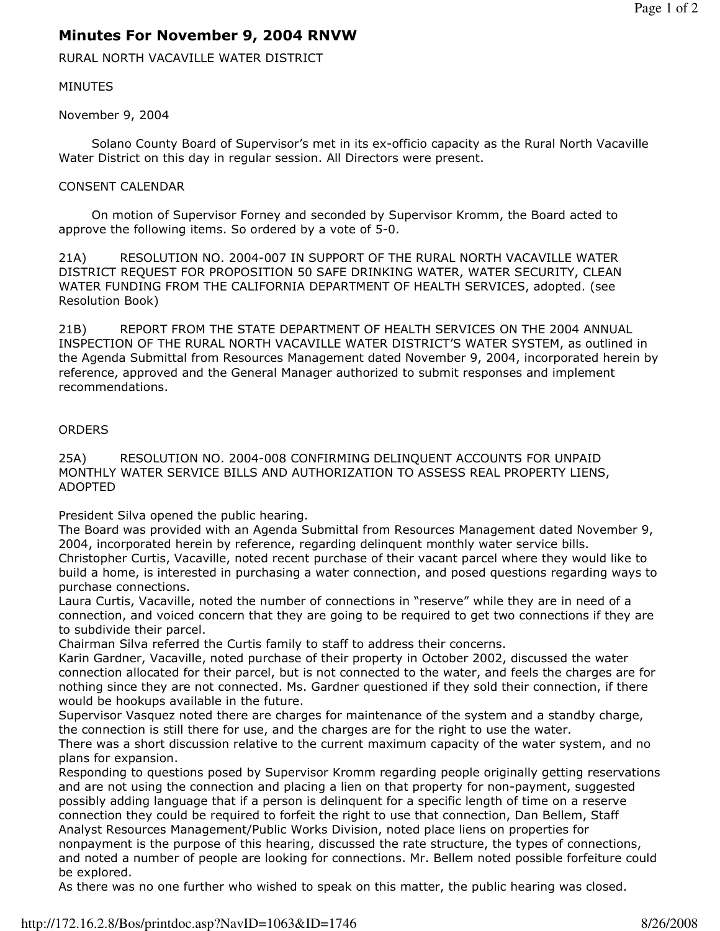## Minutes For November 9, 2004 RNVW

RURAL NORTH VACAVILLE WATER DISTRICT

## MINUTES

November 9, 2004

 Solano County Board of Supervisor's met in its ex-officio capacity as the Rural North Vacaville Water District on this day in regular session. All Directors were present.

## CONSENT CALENDAR

 On motion of Supervisor Forney and seconded by Supervisor Kromm, the Board acted to approve the following items. So ordered by a vote of 5-0.

21A) RESOLUTION NO. 2004-007 IN SUPPORT OF THE RURAL NORTH VACAVILLE WATER DISTRICT REQUEST FOR PROPOSITION 50 SAFE DRINKING WATER, WATER SECURITY, CLEAN WATER FUNDING FROM THE CALIFORNIA DEPARTMENT OF HEALTH SERVICES, adopted. (see Resolution Book)

21B) REPORT FROM THE STATE DEPARTMENT OF HEALTH SERVICES ON THE 2004 ANNUAL INSPECTION OF THE RURAL NORTH VACAVILLE WATER DISTRICT'S WATER SYSTEM, as outlined in the Agenda Submittal from Resources Management dated November 9, 2004, incorporated herein by reference, approved and the General Manager authorized to submit responses and implement recommendations.

## **ORDERS**

25A) RESOLUTION NO. 2004-008 CONFIRMING DELINQUENT ACCOUNTS FOR UNPAID MONTHLY WATER SERVICE BILLS AND AUTHORIZATION TO ASSESS REAL PROPERTY LIENS, ADOPTED

President Silva opened the public hearing.

The Board was provided with an Agenda Submittal from Resources Management dated November 9, 2004, incorporated herein by reference, regarding delinquent monthly water service bills. Christopher Curtis, Vacaville, noted recent purchase of their vacant parcel where they would like to build a home, is interested in purchasing a water connection, and posed questions regarding ways to purchase connections.

Laura Curtis, Vacaville, noted the number of connections in "reserve" while they are in need of a connection, and voiced concern that they are going to be required to get two connections if they are to subdivide their parcel.

Chairman Silva referred the Curtis family to staff to address their concerns.

Karin Gardner, Vacaville, noted purchase of their property in October 2002, discussed the water connection allocated for their parcel, but is not connected to the water, and feels the charges are for nothing since they are not connected. Ms. Gardner questioned if they sold their connection, if there would be hookups available in the future.

Supervisor Vasquez noted there are charges for maintenance of the system and a standby charge, the connection is still there for use, and the charges are for the right to use the water.

There was a short discussion relative to the current maximum capacity of the water system, and no plans for expansion.

Responding to questions posed by Supervisor Kromm regarding people originally getting reservations and are not using the connection and placing a lien on that property for non-payment, suggested possibly adding language that if a person is delinquent for a specific length of time on a reserve connection they could be required to forfeit the right to use that connection, Dan Bellem, Staff Analyst Resources Management/Public Works Division, noted place liens on properties for nonpayment is the purpose of this hearing, discussed the rate structure, the types of connections, and noted a number of people are looking for connections. Mr. Bellem noted possible forfeiture could be explored.

As there was no one further who wished to speak on this matter, the public hearing was closed.